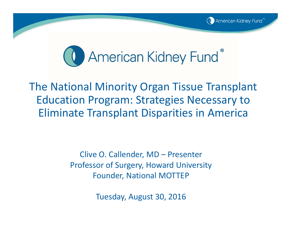



The National Minority Organ Tissue Transplant Education Program: Strategies Necessary to Eliminate Transplant Disparities in America

> Clive O. Callender, MD – Presenter Professor of Surgery, Howard University Founder, National MOTTEP

> > Tuesday, August 30, 2016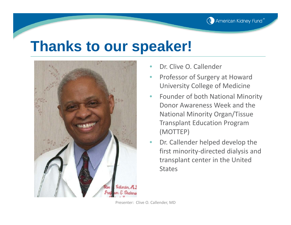

#### **Thanks to our speaker!**



- •Dr. Clive O. Callender
- • Professor of Surgery at Howard University College of Medicine
- •**• Founder of both National Minority** Donor Awareness Week and the National Minority Organ/Tissue Transplant Education Program (MOTTEP)
- • Dr. Callender helped develop the first minority‐directed dialysis and transplant center in the United **States**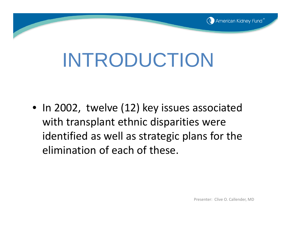

# INTRODUCTION

• In 2002, twelve (12) key issues associated with transplant ethnic disparities were identified as well as strategic plans for the elimination of each of these.

Presenter: Clive O. Callender, MD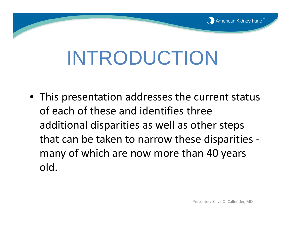

# INTRODUCTION

• This presentation addresses the current status of each of these and identifies three additional disparities as well as other steps that can be taken to narrow these disparities ‐ many of which are now more than 40 years old.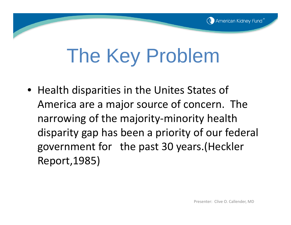

# The Key Problem

• Health disparities in the Unites States of America are <sup>a</sup> major source of concern. The narrowing of the majority‐minority health disparity gap has been <sup>a</sup> priority of our federal government for the past 30 years.(Heckler Report,1985)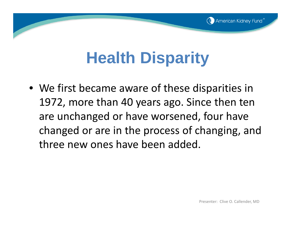# **Health Disparity**

• We first became aware of these disparities in 1972, more than 40 years ago. Since then ten are unchanged or have worsened, four have changed or are in the process of changing, and three new ones have been added.

(C) American Kidney Fund®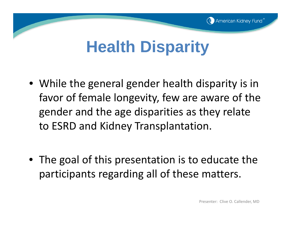

## **Health Disparity**

- While the general gender health disparity is in favor of female longevity, few are aware of the gender and the age disparities as they relate to ESRD and Kidney Transplantation.
- The goal of this presentation is to educate the participants regarding all of these matters.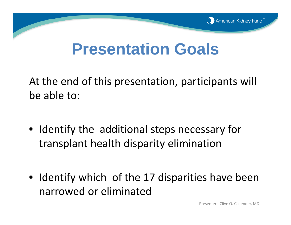

#### **Presentation Goals**

At the end of this presentation, participants will be able to:

- Identify the additional steps necessary for transplant health disparity elimination
- Identify which of the 17 disparities have been narrowed or eliminated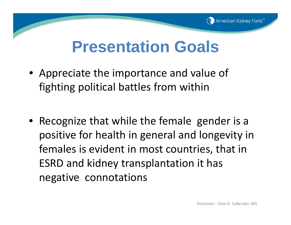

#### **Presentation Goals**

- Appreciate the importance and value of fighting political battles from within
- Recognize that while the female gender is a positive for health in general and longevity in females is evident in most countries, that in ESRD and kidney transplantation it has negative connotations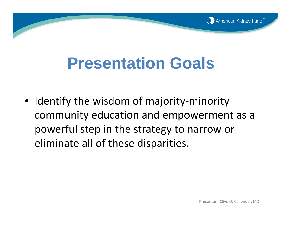# **Presentation Goals**

• Identify the wisdom of majority‐minority community education and empowerment as <sup>a</sup> powerful step in the strategy to narrow or eliminate all of these disparities.

(C) American Kidney Fund®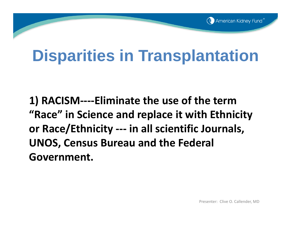**1) RACISM‐‐‐‐Eliminate the use of the term "Race" in Science and replace it with Ethnicity or Race/Ethnicity ‐‐‐ in all scientific Journals, UNOS, Census Bureau and the Federal Government.**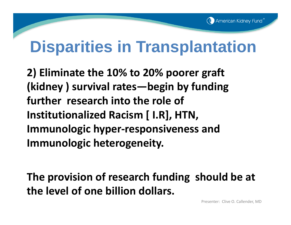**2) Eliminate the 10% to 20% poorer graft (kidney ) survival rates—begin by funding further research into the role of Institutionalized Racism [ I.R], HTN, Immunologic hyper ‐responsiveness and Immunologic heterogeneity.**

**The provision of research funding should be at the level of one billion dollars.**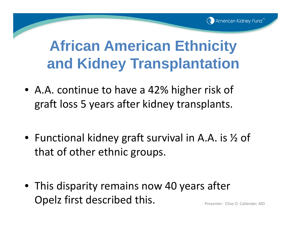- A.A. continue to have a 42% higher risk of graft loss 5 years after kidney transplants.
- Functional kidney graft survival in A.A. is ½ of that of other ethnic groups.
- This disparity remains now 40 years after Opelz first described this. **Presenter: Clive O. Callender, MD**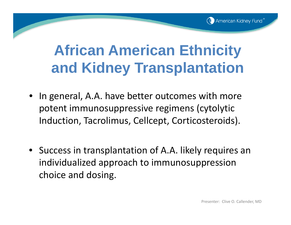

- In general, A.A. have better outcomes with more potent immunosuppressive regimens (cytolytic Induction, Tacrolimus, Cellcept, Corticosteroids).
- Success in transplantation of A.A. likely requires an individualized approach to immunosuppression choice and dosing.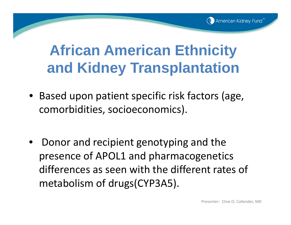

- Based upon patient specific risk factors (age, comorbidities, socioeconomics).
- •• Donor and recipient genotyping and the presence of APOL1 and pharmacogenetics differences as seen with the different rates of metabolism of drugs(CYP3A5).

Presenter: Clive O. Callender, MD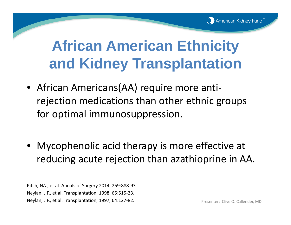- African Americans(AA) require more anti ‐ rejection medications than other ethnic groups for optimal immunosuppression.
- Mycophenolic acid therapy is more effective at reducing acute rejection than azathioprine in AA.

Pitch, NA., et al. Annals of Surgery 2014, 259:888‐93 Neylan, J.F., et al. Transplantation, 1998, 65:515‐23. Neylan, J.F., et al. Transplantation, 1997, 64:127-82.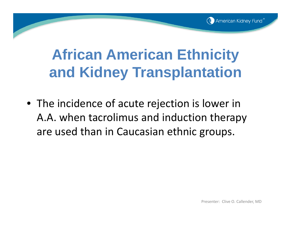

• The incidence of acute rejection is lower in A.A. when tacrolimus and induction therapy are used than in Caucasian ethnic groups.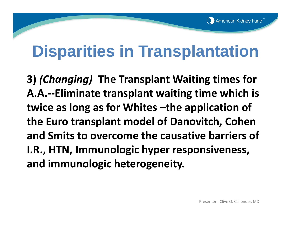**3)** *(Changing)* **The Transplant Waiting times for A.A.‐‐Eliminate transplant waiting time which is twice as long as for Whites –the application of the Euro transplant model of Danovitch, Cohen and Smits to overcome the causative barriers of I.R., HTN, Immunologic hyper responsiveness, and immunologic heterogeneity.**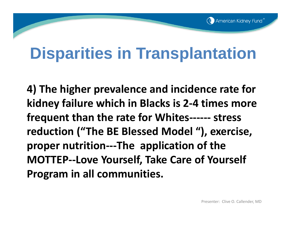**4) The higher prevalence and incidence rate for kidney failure which in Blacks is 2 ‐ 4 times more frequent than the rate for Whites‐‐‐‐‐‐ stress reduction ("The BE Blessed Model "), exercise, proper nutrition‐‐‐The application of the MOTTEP‐‐Love Yourself, Take Care of Yourself Program in all communities.**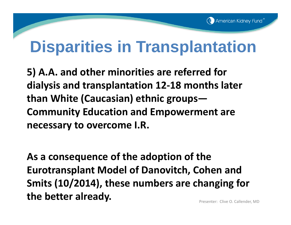**5) A.A. and other minorities are referred for dialysis and transplantation 12 ‐18 months later than White (Caucasian) ethnic groups— Community Education and Empowerment are necessary to overcome I.R.**

**As a consequence of the adoption of the Eurotransplant Model of Danovitch, Cohen and Smits (10/2014), these numbers are changing for the better already.** The **better already.** The **presenter:** : Clive O. Callender, MD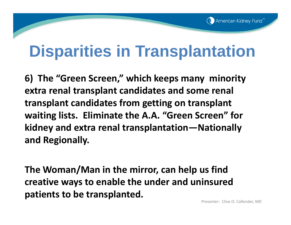**6) The "Green Screen," which keeps many minority extra renal transplant candidates and some renal transplant candidates from getting on transplant waiting lists. Eliminate the A.A. "Green Screen" for kidney and extra renal transplantation—Nationally and Regionally.**

**The Woman/Man in the mirror, can help us find creative ways to enable the under and uninsured patients to be transplanted.**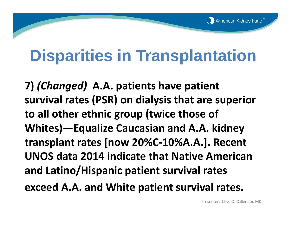**7)** *(Changed)* **A.A. patients have patient survival rates (PSR) on dialysis that are superior to all other ethnic group (twice those of Whites)—Equalize Caucasian and A.A. kidney transplant rates [now 20%C ‐10%A.A.]. Recent UNOS data 2014 indicate that Native Americanand Latino/Hispanic patient survival rates exceed A.A. and White patient survival rates.**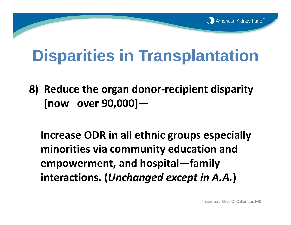**8) Reduce the organ donor ‐recipient disparity [now over 90,000]—**

**Increase ODR in all ethnic groups especially minorities via community education and empowerment, and hospital—family interactions. (***Unchanged except in A.A.* **)**

Presenter: Clive O. Callender, MD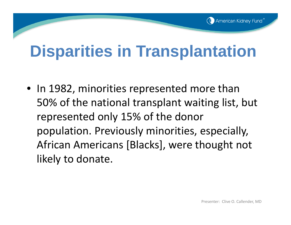• In 1982, minorities represented more than 50% of the national transplant waiting list, but represented only 15% of the donor population. Previously minorities, especially, African Americans [Blacks], were thought not likely to donate.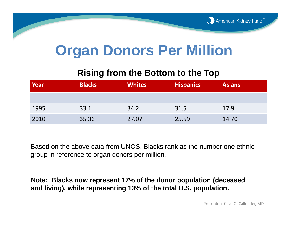#### **Organ Donors Per Million**

#### **Rising from the Bottom to the Top**

| Year | <b>Blacks</b> | <b>Whites</b> | <b>Hispanics</b> | <b>Asians</b> |  |
|------|---------------|---------------|------------------|---------------|--|
|      |               |               |                  |               |  |
| 1995 | 33.1          | 34.2          | 31.5             | 17.9          |  |
| 2010 | 35.36         | 27.07         | 25.59            | 14.70         |  |

Based on the above data from UNOS, Blacks rank as the number one ethnic group in reference to organ donors per million.

**Note: Blacks now represent 17% of the donor population (deceased and living), while representing 13% of the total U.S. population.**

Presenter: Clive O. Callender, MD

(C) American Kidney Fund®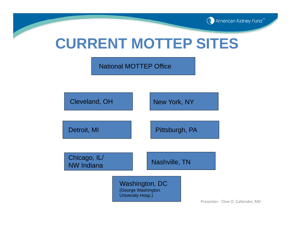

#### **CURRENT MOTTEP SITES**

National MOTTEP Office



Presenter: Clive O. Callender, MD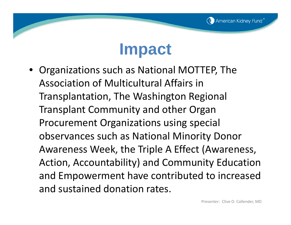

#### **Impact**

• Organizations such as National MOTTEP, The Association of Multicultural Affairs in Transplantation, The Washington Regional Transplant Community and other Organ Procurement Organizations using special observances such as National Minority Donor Awareness Week, the Triple A Effect (Awareness, Action, Accountability) and Community Education and Empowerment have contributed to increased and sustained donation rates.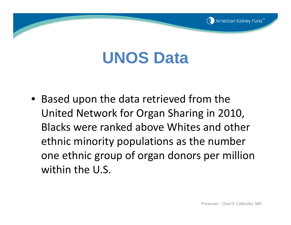# **UNOS Data**

• Based upon the data retrieved from the United Network for Organ Sharing in 2010, Blacks were ranked above Whites and other ethnic minority populations as the number one ethnic group of organ donors per million within the U.S.

American Kidney Fund®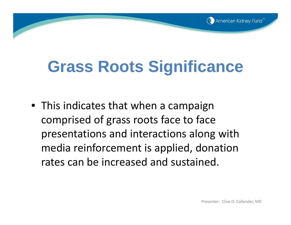

# **Grass Roots Significance**

• This indicates that when a campaign comprised of grass roots face to face presentations and interactions along with media reinforcement is applied, donation rates can be increased and sustained.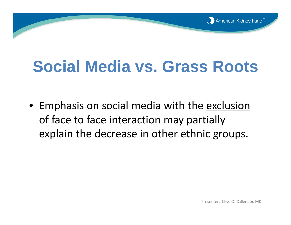

# **Social Media vs. Grass Roots**

• Emphasis on social media with the <u>exclusion</u> of face to face interaction may partially explain the decrease in other ethnic groups.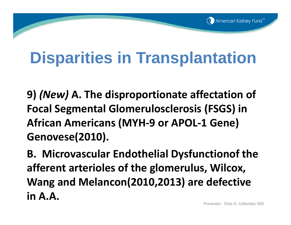**9)** *(New)* **A. The disproportionate affectation of Focal Segmental Glomerulosclerosis (FSGS) in African Americans (MYH ‐ 9 or APOL ‐ 1 Gene) Genovese(2010).**

**B. Microvascular Endothelial Dysfunctionof the afferent arterioles of the glomerulus, Wilcox, Wang and Melancon(2010,2013) are defective in A.A.**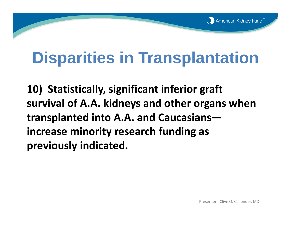**10) Statistically, significant inferior graft survival of A.A. kidneys and other organs when transplanted into A.A. and Caucasians increase minority research funding as previously indicated.**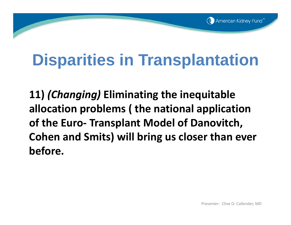**11)** *(Changing)* **Eliminating the inequitable allocation problems ( the national application of the Euro ‐ Transplant Model of Danovitch, Cohen and Smits) will bring us closer than ever before.**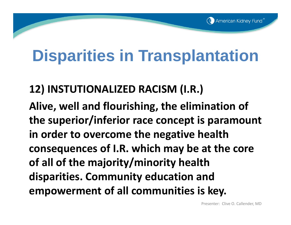#### **12) INSTUTIONALIZED RACISM (I.R.)**

**Alive, well and flourishing, the elimination of the superior/inferior race concept is paramount in order to overcome the negative health consequences of I.R. which may be at the core of all of the majority/minority health disparities. Community education and empowerment of all communities is key.**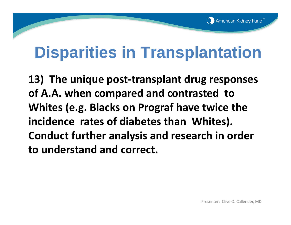**13) The unique post‐transplant drug responses of A.A. when compared and contrasted to Whites (e.g. Blacks on Prograf have twice the incidence rates of diabetes than Whites). Conduct further analysis and research in order to understand and correct.**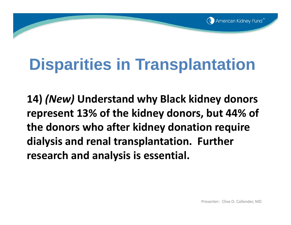

**14)** *(New)* **Understand why Black kidney donors represent 13% of the kidney donors, but 44% of the donors who after kidney donation require dialysis and renal transplantation. Further research and analysis is essential.**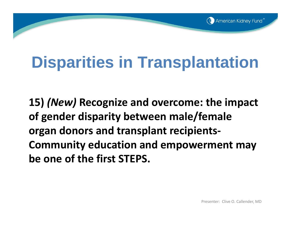

**15)** *(New)* **Recognize and overcome: the impact of gender disparity between male/female organ donors and transplant recipients‐ Community education and empowerment may be one of the first STEPS.**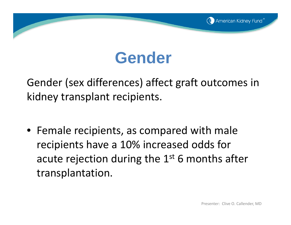## **Gender**

Gender (sex differences) affect graft outcomes in kidney transplant recipients.

• Female recipients, as compared with male recipients have <sup>a</sup> 10% increased odds for acute rejection during the  $1^{\rm st}$  6 months after transplantation.

(C) American Kidney Fund®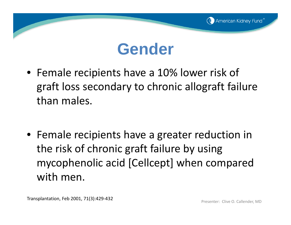

#### **Gender**

- Female recipients have <sup>a</sup> 10% lower risk of graft loss secondary to chronic allograft failure than males.
- Female recipients have <sup>a</sup> greater reduction in the risk of chronic graft failure by using mycophenolic acid [Cellcept] when compared with men.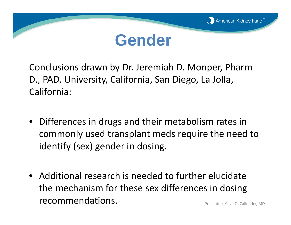



Conclusions drawn by Dr. Jeremiah D. Monper, Pharm D., PAD, University, California, San Diego, La Jolla, California:

- Differences in drugs and their metabolism rates in commonly used transplant meds require the need to identify (sex) gender in dosing.
- Additional research is needed to further elucidate the mechanism for these sex differences in dosing recommendations.Presenter: Clive O. Callender, MD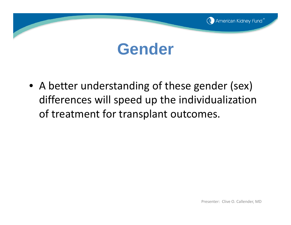

#### **Gender**

• A better understanding of these gender (sex) differences will speed up the individualization of treatment for transplant outcomes.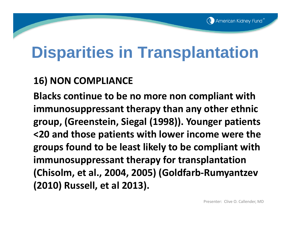#### **16) NON COMPLIANCE**

**Blacks continue to be no more non compliant with immunosuppressant therapy than any other ethnic group, (Greenstein, Siegal (1998)). Younger patients <20 and those patients with lower income were the groups found to be least likely to be compliant with immunosuppressant therapy for transplantation (Chisolm, et al., 2004, 2005) (Goldfarb‐Rumyantzev (2010) Russell, et al 2013).**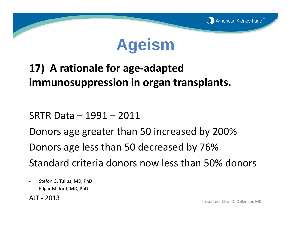

#### **17) A rationale for age‐adapted immunosuppression in organ transplants.**

SRTR Data – 1991 – 2011

Donors age greater than 50 increased by 200% Donors age less than 50 decreased by 76% Standard criteria donors now less than 50% donors

- $\overline{\phantom{a}}$ Stefon G. Tullus, MD, PhD
- ‐Edgar Milford, MD, PhD

AJT ‐ 2013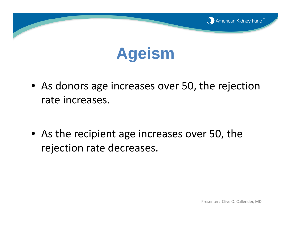

### **Ageism**

• As donors age increases over 50, the rejection rate increases.

• As the recipient age increases over 50, the rejection rate decreases.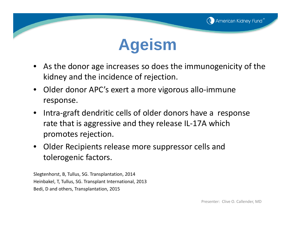



- As the donor age increases so does the immunogenicity of the kidney and the incidence of rejection.
- Older donor APC's exert a more vigorous allo‐immune response.
- • Intra‐graft dendritic cells of older donors have <sup>a</sup> response rate that is aggressive and they release IL‐17A which promotes rejection.
- • Older Recipients release more suppressor cells and tolerogenic factors.

Slegtenhorst, B, Tullus, SG. Transplantation, 2014 Heinbakel, T, Tullus, SG. Transplant International, 2013 Bedi, D and others, Transplantation, 2015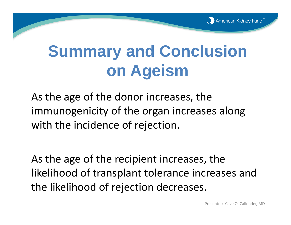

# **Summary and Conclusion on Ageism**

As the age of the donor increases, the immunogenicity of the organ increases along with the incidence of rejection.

As the age of the recipient increases, the likelihood of transplant tolerance increases and the likelihood of rejection decreases.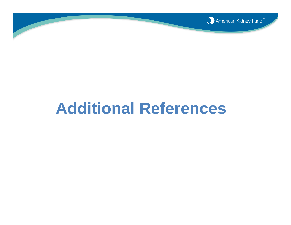

#### **Additional References**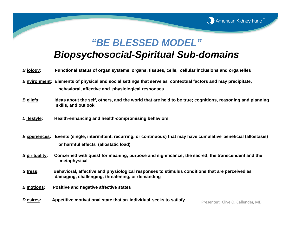#### *"BE BLESSED MODEL"*

**C** American Kidney Fund<sup>®</sup>

#### *Biopsychosocial-Spiritual Sub-domains*

| B <u>iology</u> : | Functional status of organ systems, organs, tissues, cells, cellular inclusions and organelles                                                                    |
|-------------------|-------------------------------------------------------------------------------------------------------------------------------------------------------------------|
|                   | E nvironment: Elements of physical and social settings that serve as contextual factors and may precipitate,<br>behavioral, affective and physiological responses |
| <b>B</b> eliefs:  | Ideas about the self, others, and the world that are held to be true; cognitions, reasoning and planning<br>skills, and outlook                                   |
| L ifestyle:       | Health-enhancing and health-compromising behaviors                                                                                                                |
|                   | Experiences: Events (single, intermittent, recurring, or continuous) that may have cumulative beneficial (allostasis)                                             |
|                   | or harmful effects (allostatic load)                                                                                                                              |
| S pirituality:    | Concerned with quest for meaning, purpose and significance; the sacred, the transcendent and the<br>metaphysical                                                  |
| Stress:           | Behavioral, affective and physiological responses to stimulus conditions that are perceived as<br>damaging, challenging, threatening, or demanding                |
| E motions:        | Positive and negative affective states                                                                                                                            |
| Desires:          | Appetitive motivational state that an individual seeks to satisfy<br>Presenter: Clive O. Callender, MD                                                            |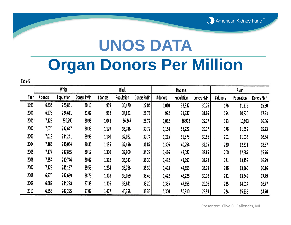

# **UNOS DATA Organ Donors Per Million**

Table 5

|      | White    |            |            | Black    |            | Hispanic   |          | Asian      |            |          |            |            |
|------|----------|------------|------------|----------|------------|------------|----------|------------|------------|----------|------------|------------|
| Year | # donors | Population | Doners PMP | # donors | Population | Doners PMP | # donors | Population | Doners PMP | # donors | Population | Doners PMP |
| 1999 | 6,835    | 226,861    | 30.13      | 959      | 35,470     | 27.04      | 1,010    | 32,832     | 30.76      | 176      | 11,279     | 15.60      |
| 2000 | 6,978    | 224,611    | 31.07      | 932      | 34,862     | 26.73      | 992      | 31,337     | 31.66      | 194      | 10,820     | 17.93      |
| 2001 | 7,128    | 230,290    | 30.95      | 1,043    | 36,247     | 28.77      | 1,082    | 36,972     | 29.27      | 183      | 10,983     | 16.66      |
| 2002 | 7,070    | 232,647    | 30.39      | 1,129    | 36,746     | 30.72      | 1,138    | 38,222     | 29.77      | 176      | 11,559     | 15.23      |
| 2003 | 7,018    | 234,241    | 29.96      | 1,140    | 37,082     | 30.74      | 1,215    | 39,373     | 30.86      | 201      | 11,933     | 16.84      |
| 2004 | 7,165    | 236,064    | 30.35      | 1,195    | 37,496     | 31.87      | 1,306    | 40,754     | 32.05      | 230      | 12,321     | 18.67      |
| 2005 | 7,177    | 237,855    | 30.17      | 1,300    | 37,909     | 34.29      | 1,416    | 42,082     | 33.65      | 200      | 12,687     | 15.76      |
| 2006 | 7,354    | 239,746    | 30.67      | 1,392    | 38,343     | 36.30      | 1,482    | 43,693     | 33.92      | 221      | 13,159     | 16.79      |
| 2007 | 7,126    | 241,167    | 29.55      | 1,294    | 38,756     | 33.39      | 1,493    | 44,853     | 33.29      | 216      | 13,366     | 16.16      |
| 2008 | 6,970    | 242,639    | 28.73      | 1,308    | 39,059     | 33.49      | 1,422    | 46,228     | 30.76      | 241      | 13,549     | 17.79      |
| 2009 | 6,689    | 244,298    | 27.38      | 1,316    | 39,641     | 33.20      | 1,385    | 47,655     | 29.06      | 235      | 14,014     | 16.77      |
| 2010 | 6,558    | 242,295    | 27.07      | 1,427    | 40,358     | 35.36      | 1,300    | 50,810     | 25.59      | 224      | 15,239     | 14.70      |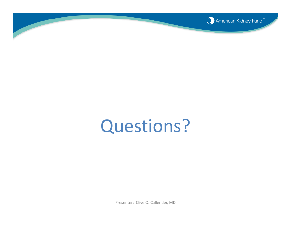

# Questions?

Presenter: Clive O. Callender, MD